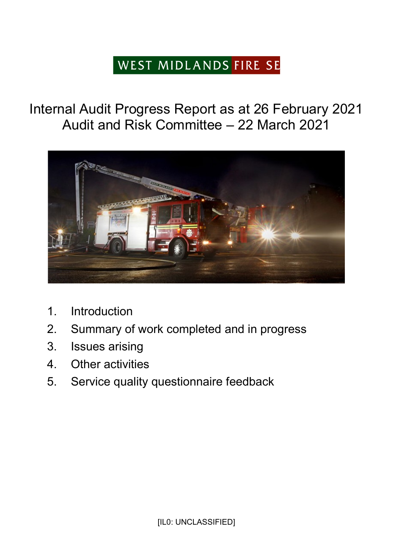# WEST MIDLANDS FIRE SE

## Internal Audit Progress Report as at 26 February 2021 Audit and Risk Committee – 22 March 2021



- 1. Introduction
- 2. Summary of work completed and in progress
- 3. Issues arising
- 4. Other activities
- 5. Service quality questionnaire feedback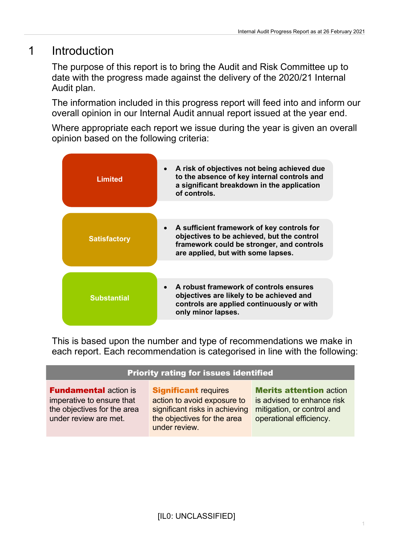## 1 Introduction

The purpose of this report is to bring the Audit and Risk Committee up to date with the progress made against the delivery of the 2020/21 Internal Audit plan.

The information included in this progress report will feed into and inform our overall opinion in our Internal Audit annual report issued at the year end.

Where appropriate each report we issue during the year is given an overall opinion based on the following criteria:

| <b>Limited</b>      | • A risk of objectives not being achieved due<br>to the absence of key internal controls and<br>a significant breakdown in the application<br>of controls.                    |
|---------------------|-------------------------------------------------------------------------------------------------------------------------------------------------------------------------------|
|                     |                                                                                                                                                                               |
|                     |                                                                                                                                                                               |
| <b>Satisfactory</b> | • A sufficient framework of key controls for<br>objectives to be achieved, but the control<br>framework could be stronger, and controls<br>are applied, but with some lapses. |
|                     |                                                                                                                                                                               |
|                     |                                                                                                                                                                               |
| <b>Substantial</b>  | A robust framework of controls ensures<br>objectives are likely to be achieved and<br>controls are applied continuously or with<br>only minor lapses.                         |
|                     |                                                                                                                                                                               |

This is based upon the number and type of recommendations we make in each report. Each recommendation is categorised in line with the following:

#### Priority rating for issues identified

**Fundamental action is** imperative to ensure that the objectives for the area under review are met.

Significant requires action to avoid exposure to significant risks in achieving the objectives for the area under review.

Merits attention action is advised to enhance risk mitigation, or control and operational efficiency.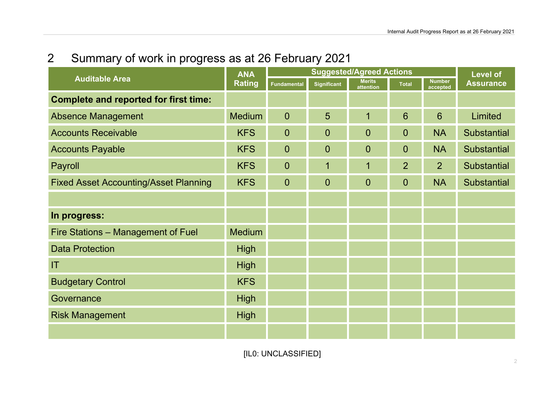## 2 Summary of work in progress as at 26 February 2021

| <b>Auditable Area</b>                        | <b>ANA</b><br><b>Rating</b> | <b>Suggested/Agreed Actions</b> |                         |                            |                |                           | <b>Level of</b>    |
|----------------------------------------------|-----------------------------|---------------------------------|-------------------------|----------------------------|----------------|---------------------------|--------------------|
|                                              |                             | <b>Fundamental</b>              | <b>Significant</b>      | <b>Merits</b><br>attention | <b>Total</b>   | <b>Number</b><br>accepted | <b>Assurance</b>   |
| <b>Complete and reported for first time:</b> |                             |                                 |                         |                            |                |                           |                    |
| <b>Absence Management</b>                    | <b>Medium</b>               | $\overline{0}$                  | 5                       | $\overline{1}$             | 6              | 6                         | Limited            |
| <b>Accounts Receivable</b>                   | <b>KFS</b>                  | $\overline{0}$                  | $\overline{0}$          | $\overline{0}$             | $\overline{0}$ | <b>NA</b>                 | <b>Substantial</b> |
| <b>Accounts Payable</b>                      | <b>KFS</b>                  | $\overline{0}$                  | $\overline{0}$          | $\mathbf 0$                | $\overline{0}$ | <b>NA</b>                 | <b>Substantial</b> |
| Payroll                                      | <b>KFS</b>                  | $\overline{0}$                  | $\overline{\mathbf{1}}$ | $\overline{1}$             | $\overline{2}$ | $\overline{2}$            | <b>Substantial</b> |
| <b>Fixed Asset Accounting/Asset Planning</b> | <b>KFS</b>                  | $\overline{0}$                  | $\overline{0}$          | $\overline{0}$             | $\overline{0}$ | <b>NA</b>                 | <b>Substantial</b> |
|                                              |                             |                                 |                         |                            |                |                           |                    |
| In progress:                                 |                             |                                 |                         |                            |                |                           |                    |
| Fire Stations - Management of Fuel           | <b>Medium</b>               |                                 |                         |                            |                |                           |                    |
| <b>Data Protection</b>                       | <b>High</b>                 |                                 |                         |                            |                |                           |                    |
| T                                            | <b>High</b>                 |                                 |                         |                            |                |                           |                    |
| <b>Budgetary Control</b>                     | <b>KFS</b>                  |                                 |                         |                            |                |                           |                    |
| Governance                                   | <b>High</b>                 |                                 |                         |                            |                |                           |                    |
| <b>Risk Management</b>                       | <b>High</b>                 |                                 |                         |                            |                |                           |                    |
|                                              |                             |                                 |                         |                            |                |                           |                    |

[IL0: UNCLASSIFIED]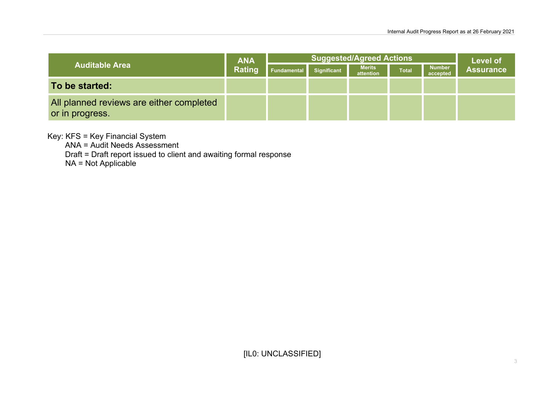| <b>Auditable Area</b>                                       | <b>ANA</b><br>Rating | <b>Suggested/Agreed Actions</b> |                    |                            |              |                           | <b>Level of</b>  |
|-------------------------------------------------------------|----------------------|---------------------------------|--------------------|----------------------------|--------------|---------------------------|------------------|
|                                                             |                      | Fundamental                     | <b>Significant</b> | <b>Merits</b><br>attention | <b>Total</b> | <b>Number</b><br>accepted | <b>Assurance</b> |
| To be started:                                              |                      |                                 |                    |                            |              |                           |                  |
| All planned reviews are either completed<br>or in progress. |                      |                                 |                    |                            |              |                           |                  |

Key: KFS = Key Financial System

ANA = Audit Needs Assessment

Draft = Draft report issued to client and awaiting formal response

NA = Not Applicable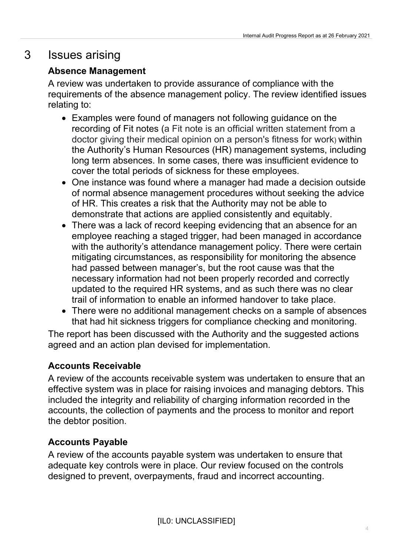## 3 Issues arising

#### Absence Management

A review was undertaken to provide assurance of compliance with the requirements of the absence management policy. The review identified issues relating to:

- Examples were found of managers not following guidance on the recording of Fit notes (a Fit note is an official written statement from a doctor giving their medical opinion on a person's fitness for work) within the Authority's Human Resources (HR) management systems, including long term absences. In some cases, there was insufficient evidence to cover the total periods of sickness for these employees.
- One instance was found where a manager had made a decision outside of normal absence management procedures without seeking the advice of HR. This creates a risk that the Authority may not be able to demonstrate that actions are applied consistently and equitably.
- There was a lack of record keeping evidencing that an absence for an employee reaching a staged trigger, had been managed in accordance with the authority's attendance management policy. There were certain mitigating circumstances, as responsibility for monitoring the absence had passed between manager's, but the root cause was that the necessary information had not been properly recorded and correctly updated to the required HR systems, and as such there was no clear trail of information to enable an informed handover to take place.
- There were no additional management checks on a sample of absences that had hit sickness triggers for compliance checking and monitoring.

The report has been discussed with the Authority and the suggested actions agreed and an action plan devised for implementation.

#### Accounts Receivable

A review of the accounts receivable system was undertaken to ensure that an effective system was in place for raising invoices and managing debtors. This included the integrity and reliability of charging information recorded in the accounts, the collection of payments and the process to monitor and report the debtor position.

#### Accounts Payable

A review of the accounts payable system was undertaken to ensure that adequate key controls were in place. Our review focused on the controls designed to prevent, overpayments, fraud and incorrect accounting.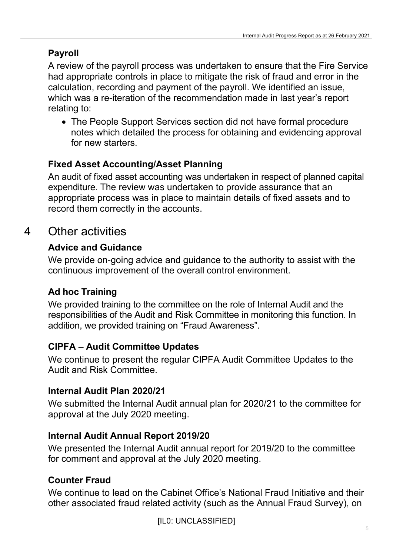#### Payroll

A review of the payroll process was undertaken to ensure that the Fire Service had appropriate controls in place to mitigate the risk of fraud and error in the calculation, recording and payment of the payroll. We identified an issue, which was a re-iteration of the recommendation made in last year's report relating to:

 The People Support Services section did not have formal procedure notes which detailed the process for obtaining and evidencing approval for new starters.

#### Fixed Asset Accounting/Asset Planning

An audit of fixed asset accounting was undertaken in respect of planned capital expenditure. The review was undertaken to provide assurance that an appropriate process was in place to maintain details of fixed assets and to record them correctly in the accounts.

## 4 Other activities

#### Advice and Guidance

We provide on-going advice and guidance to the authority to assist with the continuous improvement of the overall control environment.

#### Ad hoc Training

We provided training to the committee on the role of Internal Audit and the responsibilities of the Audit and Risk Committee in monitoring this function. In addition, we provided training on "Fraud Awareness".

#### CIPFA – Audit Committee Updates

We continue to present the regular CIPFA Audit Committee Updates to the Audit and Risk Committee.

#### Internal Audit Plan 2020/21

We submitted the Internal Audit annual plan for 2020/21 to the committee for approval at the July 2020 meeting.

#### Internal Audit Annual Report 2019/20

We presented the Internal Audit annual report for 2019/20 to the committee for comment and approval at the July 2020 meeting.

#### Counter Fraud

We continue to lead on the Cabinet Office's National Fraud Initiative and their other associated fraud related activity (such as the Annual Fraud Survey), on